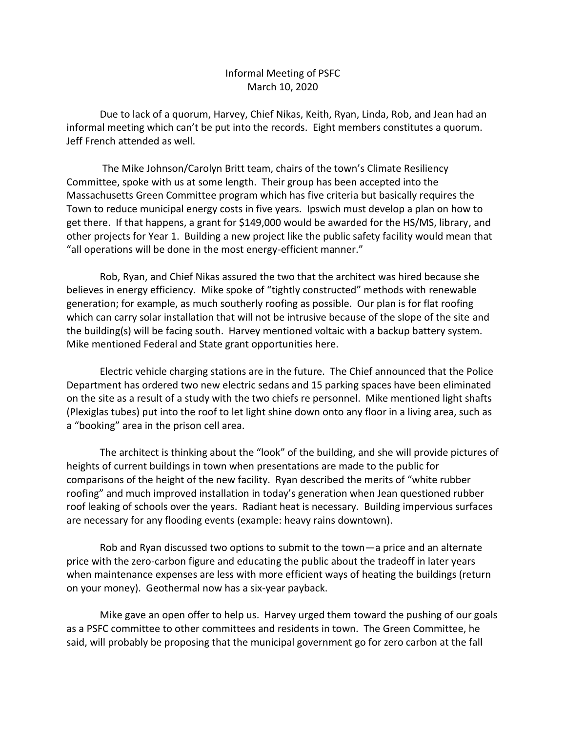## Informal Meeting of PSFC March 10, 2020

Due to lack of a quorum, Harvey, Chief Nikas, Keith, Ryan, Linda, Rob, and Jean had an informal meeting which can't be put into the records. Eight members constitutes a quorum. Jeff French attended as well.

The Mike Johnson/Carolyn Britt team, chairs of the town's Climate Resiliency Committee, spoke with us at some length. Their group has been accepted into the Massachusetts Green Committee program which has five criteria but basically requires the Town to reduce municipal energy costs in five years. Ipswich must develop a plan on how to get there. If that happens, a grant for \$149,000 would be awarded for the HS/MS, library, and other projects for Year 1. Building a new project like the public safety facility would mean that "all operations will be done in the most energy-efficient manner."

Rob, Ryan, and Chief Nikas assured the two that the architect was hired because she believes in energy efficiency. Mike spoke of "tightly constructed" methods with renewable generation; for example, as much southerly roofing as possible. Our plan is for flat roofing which can carry solar installation that will not be intrusive because of the slope of the site and the building(s) will be facing south. Harvey mentioned voltaic with a backup battery system. Mike mentioned Federal and State grant opportunities here.

Electric vehicle charging stations are in the future. The Chief announced that the Police Department has ordered two new electric sedans and 15 parking spaces have been eliminated on the site as a result of a study with the two chiefs re personnel. Mike mentioned light shafts (Plexiglas tubes) put into the roof to let light shine down onto any floor in a living area, such as a "booking" area in the prison cell area.

The architect is thinking about the "look" of the building, and she will provide pictures of heights of current buildings in town when presentations are made to the public for comparisons of the height of the new facility. Ryan described the merits of "white rubber roofing" and much improved installation in today's generation when Jean questioned rubber roof leaking of schools over the years. Radiant heat is necessary. Building impervious surfaces are necessary for any flooding events (example: heavy rains downtown).

Rob and Ryan discussed two options to submit to the town—a price and an alternate price with the zero-carbon figure and educating the public about the tradeoff in later years when maintenance expenses are less with more efficient ways of heating the buildings (return on your money). Geothermal now has a six-year payback.

Mike gave an open offer to help us. Harvey urged them toward the pushing of our goals as a PSFC committee to other committees and residents in town. The Green Committee, he said, will probably be proposing that the municipal government go for zero carbon at the fall